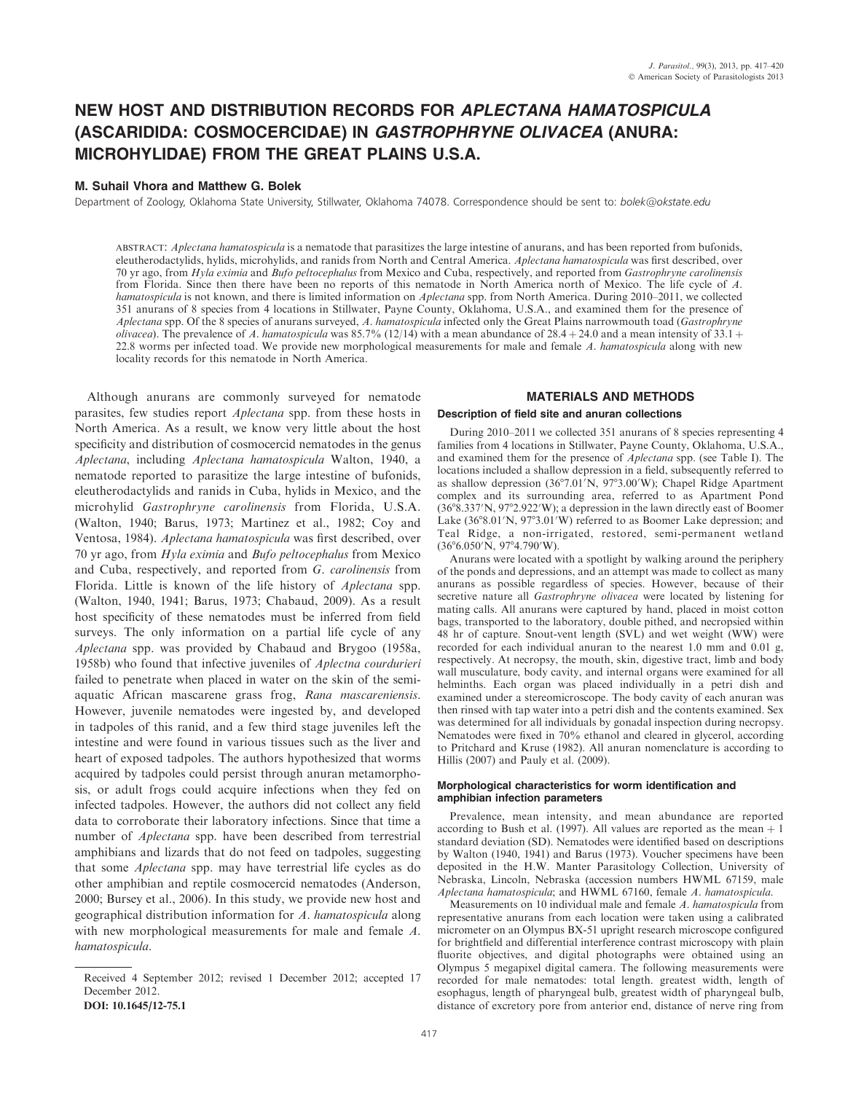# NEW HOST AND DISTRIBUTION RECORDS FOR APLECTANA HAMATOSPICULA (ASCARIDIDA: COSMOCERCIDAE) IN GASTROPHRYNE OLIVACEA (ANURA: MICROHYLIDAE) FROM THE GREAT PLAINS U.S.A.

# M. Suhail Vhora and Matthew G. Bolek

Department of Zoology, Oklahoma State University, Stillwater, Oklahoma 74078. Correspondence should be sent to: bolek@okstate.edu

ABSTRACT: Aplectana hamatospicula is a nematode that parasitizes the large intestine of anurans, and has been reported from bufonids, eleutherodactylids, hylids, microhylids, and ranids from North and Central America. Aplectana hamatospicula was first described, over 70 yr ago, from Hyla eximia and Bufo peltocephalus from Mexico and Cuba, respectively, and reported from Gastrophryne carolinensis from Florida. Since then there have been no reports of this nematode in North America north of Mexico. The life cycle of A. hamatospicula is not known, and there is limited information on Aplectana spp. from North America. During 2010-2011, we collected 351 anurans of 8 species from 4 locations in Stillwater, Payne County, Oklahoma, U.S.A., and examined them for the presence of Aplectana spp. Of the 8 species of anurans surveyed, A. hamatospicula infected only the Great Plains narrowmouth toad (Gastrophryne olivacea). The prevalence of A. hamatospicula was  $85.7\%$  (12/14) with a mean abundance of 28.4 + 24.0 and a mean intensity of 33.1 + 22.8 worms per infected toad. We provide new morphological measurements for male and female A. hamatospicula along with new locality records for this nematode in North America.

Although anurans are commonly surveyed for nematode parasites, few studies report Aplectana spp. from these hosts in North America. As a result, we know very little about the host specificity and distribution of cosmocercid nematodes in the genus Aplectana, including Aplectana hamatospicula Walton, 1940, a nematode reported to parasitize the large intestine of bufonids, eleutherodactylids and ranids in Cuba, hylids in Mexico, and the microhylid Gastrophryne carolinensis from Florida, U.S.A. (Walton, 1940; Barus, 1973; Martinez et al., 1982; Coy and Ventosa, 1984). Aplectana hamatospicula was first described, over 70 yr ago, from Hyla eximia and Bufo peltocephalus from Mexico and Cuba, respectively, and reported from G. carolinensis from Florida. Little is known of the life history of Aplectana spp. (Walton, 1940, 1941; Barus, 1973; Chabaud, 2009). As a result host specificity of these nematodes must be inferred from field surveys. The only information on a partial life cycle of any Aplectana spp. was provided by Chabaud and Brygoo (1958a, 1958b) who found that infective juveniles of Aplectna courdurieri failed to penetrate when placed in water on the skin of the semiaquatic African mascarene grass frog, Rana mascareniensis. However, juvenile nematodes were ingested by, and developed in tadpoles of this ranid, and a few third stage juveniles left the intestine and were found in various tissues such as the liver and heart of exposed tadpoles. The authors hypothesized that worms acquired by tadpoles could persist through anuran metamorphosis, or adult frogs could acquire infections when they fed on infected tadpoles. However, the authors did not collect any field data to corroborate their laboratory infections. Since that time a number of Aplectana spp. have been described from terrestrial amphibians and lizards that do not feed on tadpoles, suggesting that some Aplectana spp. may have terrestrial life cycles as do other amphibian and reptile cosmocercid nematodes (Anderson, 2000; Bursey et al., 2006). In this study, we provide new host and geographical distribution information for A. hamatospicula along with new morphological measurements for male and female A. hamatospicula.

## MATERIALS AND METHODS

#### Description of field site and anuran collections

During 2010–2011 we collected 351 anurans of 8 species representing 4 families from 4 locations in Stillwater, Payne County, Oklahoma, U.S.A., and examined them for the presence of Aplectana spp. (see Table I). The locations included a shallow depression in a field, subsequently referred to as shallow depression (36°7.01'N, 97°3.00'W); Chapel Ridge Apartment complex and its surrounding area, referred to as Apartment Pond (36°8.337'N, 97°2.922'W); a depression in the lawn directly east of Boomer Lake (36°8.01'N, 97°3.01'W) referred to as Boomer Lake depression; and Teal Ridge, a non-irrigated, restored, semi-permanent wetland  $(36^{\circ}6.050'$ N, 97 $^{\circ}4.790'$ W).

Anurans were located with a spotlight by walking around the periphery of the ponds and depressions, and an attempt was made to collect as many anurans as possible regardless of species. However, because of their secretive nature all Gastrophryne olivacea were located by listening for mating calls. All anurans were captured by hand, placed in moist cotton bags, transported to the laboratory, double pithed, and necropsied within 48 hr of capture. Snout-vent length (SVL) and wet weight (WW) were recorded for each individual anuran to the nearest 1.0 mm and 0.01 g, respectively. At necropsy, the mouth, skin, digestive tract, limb and body wall musculature, body cavity, and internal organs were examined for all helminths. Each organ was placed individually in a petri dish and examined under a stereomicroscope. The body cavity of each anuran was then rinsed with tap water into a petri dish and the contents examined. Sex was determined for all individuals by gonadal inspection during necropsy. Nematodes were fixed in 70% ethanol and cleared in glycerol, according to Pritchard and Kruse (1982). All anuran nomenclature is according to Hillis (2007) and Pauly et al. (2009).

#### Morphological characteristics for worm identification and amphibian infection parameters

Prevalence, mean intensity, and mean abundance are reported according to Bush et al. (1997). All values are reported as the mean  $+1$ standard deviation (SD). Nematodes were identified based on descriptions by Walton (1940, 1941) and Barus (1973). Voucher specimens have been deposited in the H.W. Manter Parasitology Collection, University of Nebraska, Lincoln, Nebraska (accession numbers HWML 67159, male Aplectana hamatospicula; and HWML 67160, female A. hamatospicula.

Measurements on 10 individual male and female A. hamatospicula from representative anurans from each location were taken using a calibrated micrometer on an Olympus BX-51 upright research microscope configured for brightfield and differential interference contrast microscopy with plain fluorite objectives, and digital photographs were obtained using an Olympus 5 megapixel digital camera. The following measurements were recorded for male nematodes: total length. greatest width, length of esophagus, length of pharyngeal bulb, greatest width of pharyngeal bulb, distance of excretory pore from anterior end, distance of nerve ring from

Received 4 September 2012; revised 1 December 2012; accepted 17 December 2012.

DOI: 10.1645/12-75.1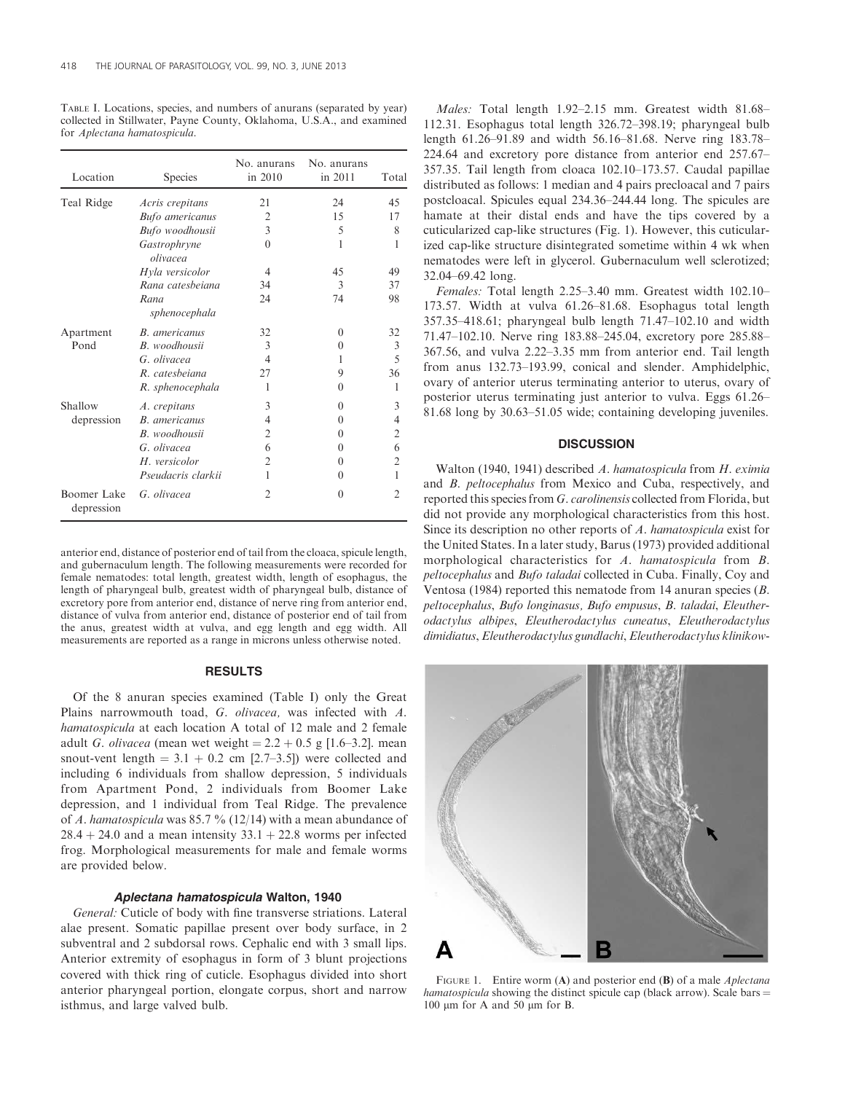TABLE I. Locations, species, and numbers of anurans (separated by year) collected in Stillwater, Payne County, Oklahoma, U.S.A., and examined for Aplectana hamatospicula.

| Location                  | Species                  | No. anurans<br>in 2010 | No. anurans<br>in 2011 | Total          |
|---------------------------|--------------------------|------------------------|------------------------|----------------|
| Teal Ridge                | Acris crepitans          | 21                     | 24                     | 45             |
|                           | <b>Bufo</b> americanus   | 2                      | 15                     | 17             |
|                           | Bufo woodhousii          | 3                      | 5                      | 8              |
|                           | Gastrophryne<br>olivacea | $\theta$               | 1                      | 1              |
|                           | Hyla versicolor          | $\overline{4}$         | 45                     | 49             |
|                           | Rana catesbeiana         | 34                     | 3                      | 37             |
|                           | Rana<br>sphenocephala    | 24                     | 74                     | 98             |
| Apartment<br>Pond         | <b>B.</b> americanus     | 32                     | $\theta$               | 32             |
|                           | B. woodhousii            | 3                      | $\Omega$               | 3              |
|                           | G. olivacea              | 4                      | 1                      | 5              |
|                           | R. catesbeiana           | 27                     | 9                      | 36             |
|                           | R. sphenocephala         | 1                      | $\theta$               | 1              |
| Shallow<br>depression     | A. crepitans             | 3                      | $\theta$               | 3              |
|                           | <b>B.</b> americanus     | $\overline{4}$         | 0                      | 4              |
|                           | B. woodhousii            | $\overline{2}$         | $\Omega$               | $\overline{2}$ |
|                           | G. olivacea              | 6                      | $\theta$               | 6              |
|                           | H. versicolor            | $\overline{c}$         | $\theta$               | $\overline{2}$ |
|                           | Pseudacris clarkii       | 1                      | 0                      | 1              |
| Boomer Lake<br>depression | G. olivacea              | $\overline{2}$         | $\theta$               | $\overline{2}$ |

anterior end, distance of posterior end of tail from the cloaca, spicule length, and gubernaculum length. The following measurements were recorded for female nematodes: total length, greatest width, length of esophagus, the length of pharyngeal bulb, greatest width of pharyngeal bulb, distance of excretory pore from anterior end, distance of nerve ring from anterior end, distance of vulva from anterior end, distance of posterior end of tail from the anus, greatest width at vulva, and egg length and egg width. All measurements are reported as a range in microns unless otherwise noted.

## RESULTS

Of the 8 anuran species examined (Table I) only the Great Plains narrowmouth toad, G. olivacea, was infected with A. hamatospicula at each location A total of 12 male and 2 female adult G. olivacea (mean wet weight =  $2.2 + 0.5$  g [1.6–3.2]. mean snout-vent length  $= 3.1 + 0.2$  cm [2.7–3.5]) were collected and including 6 individuals from shallow depression, 5 individuals from Apartment Pond, 2 individuals from Boomer Lake depression, and 1 individual from Teal Ridge. The prevalence of A. hamatospicula was 85.7 % (12/14) with a mean abundance of  $28.4 + 24.0$  and a mean intensity  $33.1 + 22.8$  worms per infected frog. Morphological measurements for male and female worms are provided below.

## Aplectana hamatospicula Walton, 1940

General: Cuticle of body with fine transverse striations. Lateral alae present. Somatic papillae present over body surface, in 2 subventral and 2 subdorsal rows. Cephalic end with 3 small lips. Anterior extremity of esophagus in form of 3 blunt projections covered with thick ring of cuticle. Esophagus divided into short anterior pharyngeal portion, elongate corpus, short and narrow isthmus, and large valved bulb.

Males: Total length 1.92–2.15 mm. Greatest width 81.68– 112.31. Esophagus total length 326.72–398.19; pharyngeal bulb length 61.26–91.89 and width 56.16–81.68. Nerve ring 183.78– 224.64 and excretory pore distance from anterior end 257.67– 357.35. Tail length from cloaca 102.10–173.57. Caudal papillae distributed as follows: 1 median and 4 pairs precloacal and 7 pairs postcloacal. Spicules equal 234.36–244.44 long. The spicules are hamate at their distal ends and have the tips covered by a cuticularized cap-like structures (Fig. 1). However, this cuticularized cap-like structure disintegrated sometime within 4 wk when nematodes were left in glycerol. Gubernaculum well sclerotized; 32.04–69.42 long.

Females: Total length 2.25–3.40 mm. Greatest width 102.10– 173.57. Width at vulva 61.26–81.68. Esophagus total length 357.35–418.61; pharyngeal bulb length 71.47–102.10 and width 71.47–102.10. Nerve ring 183.88–245.04, excretory pore 285.88– 367.56, and vulva 2.22–3.35 mm from anterior end. Tail length from anus 132.73–193.99, conical and slender. Amphidelphic, ovary of anterior uterus terminating anterior to uterus, ovary of posterior uterus terminating just anterior to vulva. Eggs 61.26– 81.68 long by 30.63–51.05 wide; containing developing juveniles.

### **DISCUSSION**

Walton (1940, 1941) described A. hamatospicula from H. eximia and B. peltocephalus from Mexico and Cuba, respectively, and reported this species from G. carolinensis collected from Florida, but did not provide any morphological characteristics from this host. Since its description no other reports of A. hamatospicula exist for the United States. In a later study, Barus (1973) provided additional morphological characteristics for A. hamatospicula from B. peltocephalus and Bufo taladai collected in Cuba. Finally, Coy and Ventosa (1984) reported this nematode from 14 anuran species (B. peltocephalus, Bufo longinasus, Bufo empusus, B. taladai, Eleutherodactylus albipes, Eleutherodactylus cuneatus, Eleutherodactylus dimidiatus, Eleutherodactylus gundlachi, Eleutherodactylus klinikow-



FIGURE 1. Entire worm (A) and posterior end (B) of a male *Aplectana* hamatospicula showing the distinct spicule cap (black arrow). Scale bars  $=$ 100  $\mu$ m for A and 50  $\mu$ m for B.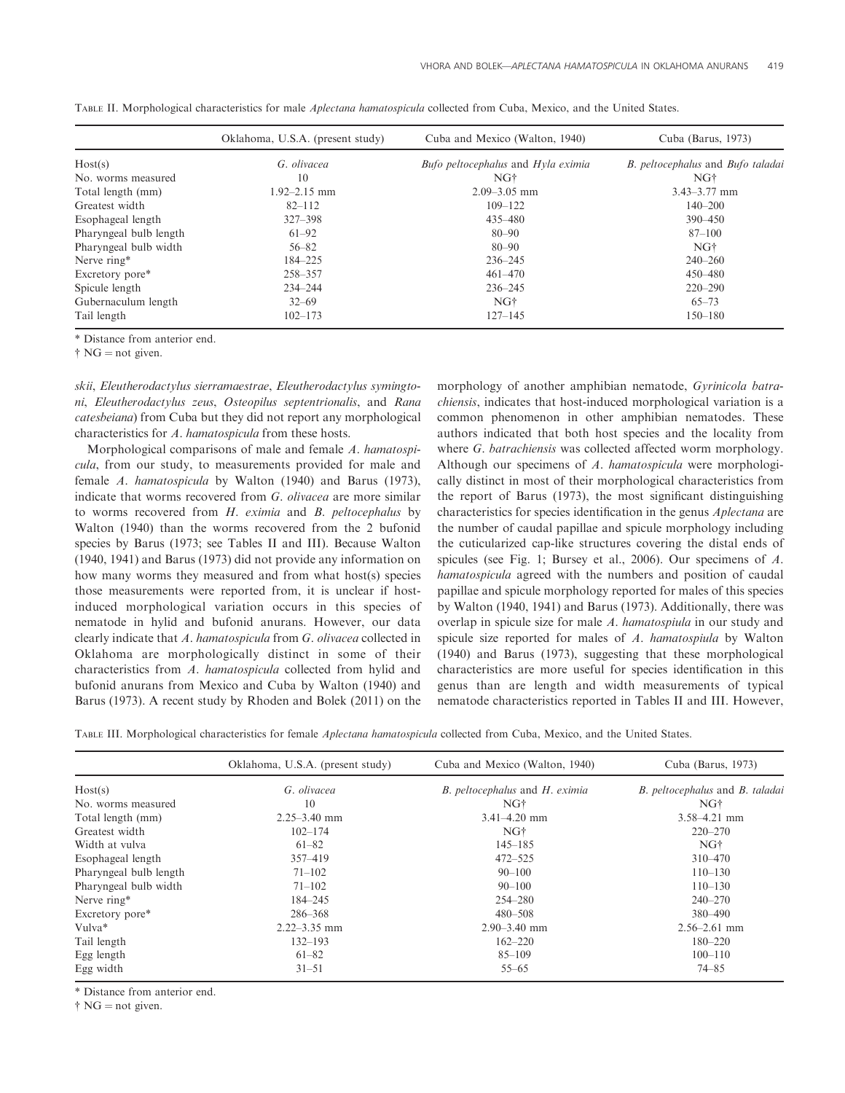|                        | Oklahoma, U.S.A. (present study) | Cuba and Mexico (Walton, 1940)     | Cuba (Barus, 1973)                |
|------------------------|----------------------------------|------------------------------------|-----------------------------------|
| Host(s)                | G. olivacea                      | Bufo peltocephalus and Hyla eximia | B. peltocephalus and Bufo taladai |
| No. worms measured     | 10                               | NG†                                | NG†                               |
| Total length (mm)      | $1.92 - 2.15$ mm                 | $2.09 - 3.05$ mm                   | $3.43 - 3.77$ mm                  |
| Greatest width         | $82 - 112$                       | $109 - 122$                        | $140 - 200$                       |
| Esophageal length      | $327 - 398$                      | 435 - 480                          | $390 - 450$                       |
| Pharyngeal bulb length | $61 - 92$                        | $80 - 90$                          | $87 - 100$                        |
| Pharyngeal bulb width  | $56 - 82$                        | $80 - 90$                          | NG <sup>+</sup>                   |
| Nerve ring*            | 184-225                          | $236 - 245$                        | $240 - 260$                       |
| Excretory pore*        | 258-357                          | $461 - 470$                        | 450-480                           |
| Spicule length         | $234 - 244$                      | $236 - 245$                        | $220 - 290$                       |
| Gubernaculum length    | $32 - 69$                        | NG <sup>+</sup>                    | $65 - 73$                         |
| Tail length            | $102 - 173$                      | $127 - 145$                        | $150 - 180$                       |

TABLE II. Morphological characteristics for male Aplectana hamatospicula collected from Cuba, Mexico, and the United States.

\* Distance from anterior end.

 $\dagger$  NG = not given.

skii, Eleutherodactylus sierramaestrae, Eleutherodactylus symingtoni, Eleutherodactylus zeus, Osteopilus septentrionalis, and Rana catesbeiana) from Cuba but they did not report any morphological characteristics for A. hamatospicula from these hosts.

Morphological comparisons of male and female A. hamatospicula, from our study, to measurements provided for male and female A. hamatospicula by Walton (1940) and Barus (1973), indicate that worms recovered from G. olivacea are more similar to worms recovered from H. eximia and B. peltocephalus by Walton (1940) than the worms recovered from the 2 bufonid species by Barus (1973; see Tables II and III). Because Walton (1940, 1941) and Barus (1973) did not provide any information on how many worms they measured and from what host(s) species those measurements were reported from, it is unclear if hostinduced morphological variation occurs in this species of nematode in hylid and bufonid anurans. However, our data clearly indicate that A. hamatospicula from G. olivacea collected in Oklahoma are morphologically distinct in some of their characteristics from A. hamatospicula collected from hylid and bufonid anurans from Mexico and Cuba by Walton (1940) and Barus (1973). A recent study by Rhoden and Bolek (2011) on the

morphology of another amphibian nematode, Gyrinicola batrachiensis, indicates that host-induced morphological variation is a common phenomenon in other amphibian nematodes. These authors indicated that both host species and the locality from where G. batrachiensis was collected affected worm morphology. Although our specimens of A. hamatospicula were morphologically distinct in most of their morphological characteristics from the report of Barus (1973), the most significant distinguishing characteristics for species identification in the genus Aplectana are the number of caudal papillae and spicule morphology including the cuticularized cap-like structures covering the distal ends of spicules (see Fig. 1; Bursey et al., 2006). Our specimens of A. hamatospicula agreed with the numbers and position of caudal papillae and spicule morphology reported for males of this species by Walton (1940, 1941) and Barus (1973). Additionally, there was overlap in spicule size for male A. hamatospiula in our study and spicule size reported for males of A. hamatospiula by Walton (1940) and Barus (1973), suggesting that these morphological characteristics are more useful for species identification in this genus than are length and width measurements of typical nematode characteristics reported in Tables II and III. However,

TABLE III. Morphological characteristics for female Aplectana hamatospicula collected from Cuba, Mexico, and the United States.

|                        | Oklahoma, U.S.A. (present study) | Cuba and Mexico (Walton, 1940) | Cuba (Barus, 1973)              |
|------------------------|----------------------------------|--------------------------------|---------------------------------|
| Host(s)                | G. olivacea                      | B. peltocephalus and H. eximia | B. peltocephalus and B. taladai |
| No. worms measured     | 10                               | NG†                            | NG†                             |
| Total length (mm)      | $2.25 - 3.40$ mm                 | $3.41 - 4.20$ mm               | $3.58 - 4.21$ mm                |
| Greatest width         | $102 - 174$                      | NG <sup>+</sup>                | $220 - 270$                     |
| Width at vulva         | $61 - 82$                        | $145 - 185$                    | NG†                             |
| Esophageal length      | 357-419                          | $472 - 525$                    | $310 - 470$                     |
| Pharyngeal bulb length | $71 - 102$                       | $90 - 100$                     | $110 - 130$                     |
| Pharyngeal bulb width  | $71 - 102$                       | $90 - 100$                     | $110 - 130$                     |
| Nerve ring*            | 184–245                          | $254 - 280$                    | $240 - 270$                     |
| Excretory pore*        | 286-368                          | $480 - 508$                    | 380-490                         |
| Vulva*                 | $2.22 - 3.35$ mm                 | $2.90 - 3.40$ mm               | $2.56 - 2.61$ mm                |
| Tail length            | $132 - 193$                      | $162 - 220$                    | $180 - 220$                     |
| Egg length             | 61-82                            | $85 - 109$                     | $100 - 110$                     |
| Egg width              | $31 - 51$                        | $55 - 65$                      | $74 - 85$                       |

\* Distance from anterior end.

 $\dagger$  NG = not given.